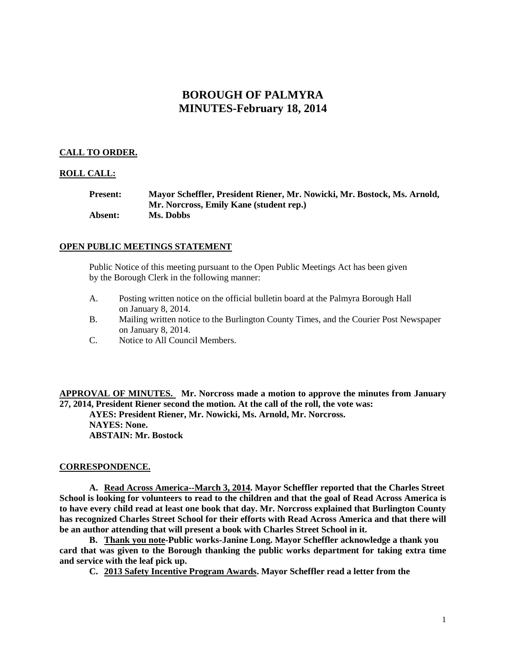# **BOROUGH OF PALMYRA MINUTES-February 18, 2014**

# **CALL TO ORDER.**

## **ROLL CALL:**

| <b>Present:</b> | Mayor Scheffler, President Riener, Mr. Nowicki, Mr. Bostock, Ms. Arnold, |
|-----------------|--------------------------------------------------------------------------|
|                 | Mr. Norcross, Emily Kane (student rep.)                                  |
| <b>Absent:</b>  | Ms. Dobbs                                                                |

## **OPEN PUBLIC MEETINGS STATEMENT**

Public Notice of this meeting pursuant to the Open Public Meetings Act has been given by the Borough Clerk in the following manner:

- A. Posting written notice on the official bulletin board at the Palmyra Borough Hall on January 8, 2014.
- B. Mailing written notice to the Burlington County Times, and the Courier Post Newspaper on January 8, 2014.
- C. Notice to All Council Members.

**APPROVAL OF MINUTES. Mr. Norcross made a motion to approve the minutes from January 27, 2014, President Riener second the motion. At the call of the roll, the vote was: AYES: President Riener, Mr. Nowicki, Ms. Arnold, Mr. Norcross. NAYES: None. ABSTAIN: Mr. Bostock**

# **CORRESPONDENCE.**

**A. Read Across America--March 3, 2014. Mayor Scheffler reported that the Charles Street School is looking for volunteers to read to the children and that the goal of Read Across America is to have every child read at least one book that day. Mr. Norcross explained that Burlington County has recognized Charles Street School for their efforts with Read Across America and that there will be an author attending that will present a book with Charles Street School in it.**

**B. Thank you note-Public works-Janine Long. Mayor Scheffler acknowledge a thank you card that was given to the Borough thanking the public works department for taking extra time and service with the leaf pick up.**

**C. 2013 Safety Incentive Program Awards. Mayor Scheffler read a letter from the**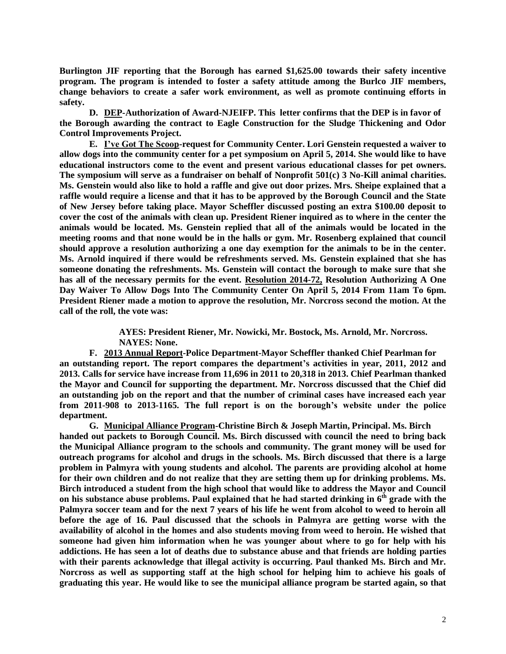**Burlington JIF reporting that the Borough has earned \$1,625.00 towards their safety incentive program. The program is intended to foster a safety attitude among the Burlco JIF members, change behaviors to create a safer work environment, as well as promote continuing efforts in safety.** 

**D. DEP-Authorization of Award-NJEIFP. This letter confirms that the DEP is in favor of the Borough awarding the contract to Eagle Construction for the Sludge Thickening and Odor Control Improvements Project.** 

**E. I've Got The Scoop-request for Community Center. Lori Genstein requested a waiver to allow dogs into the community center for a pet symposium on April 5, 2014. She would like to have educational instructors come to the event and present various educational classes for pet owners. The symposium will serve as a fundraiser on behalf of Nonprofit 501(c) 3 No-Kill animal charities. Ms. Genstein would also like to hold a raffle and give out door prizes. Mrs. Sheipe explained that a raffle would require a license and that it has to be approved by the Borough Council and the State of New Jersey before taking place. Mayor Scheffler discussed posting an extra \$100.00 deposit to cover the cost of the animals with clean up. President Riener inquired as to where in the center the animals would be located. Ms. Genstein replied that all of the animals would be located in the meeting rooms and that none would be in the halls or gym. Mr. Rosenberg explained that council should approve a resolution authorizing a one day exemption for the animals to be in the center. Ms. Arnold inquired if there would be refreshments served. Ms. Genstein explained that she has someone donating the refreshments. Ms. Genstein will contact the borough to make sure that she has all of the necessary permits for the event. Resolution 2014-72, Resolution Authorizing A One Day Waiver To Allow Dogs Into The Community Center On April 5, 2014 From 11am To 6pm. President Riener made a motion to approve the resolution, Mr. Norcross second the motion. At the call of the roll, the vote was:**

> **AYES: President Riener, Mr. Nowicki, Mr. Bostock, Ms. Arnold, Mr. Norcross. NAYES: None.**

**F. 2013 Annual Report-Police Department-Mayor Scheffler thanked Chief Pearlman for an outstanding report. The report compares the department's activities in year, 2011, 2012 and 2013. Calls for service have increase from 11,696 in 2011 to 20,318 in 2013. Chief Pearlman thanked the Mayor and Council for supporting the department. Mr. Norcross discussed that the Chief did an outstanding job on the report and that the number of criminal cases have increased each year from 2011-908 to 2013-1165. The full report is on the borough's website under the police department.**

**G. Municipal Alliance Program-Christine Birch & Joseph Martin, Principal. Ms. Birch handed out packets to Borough Council. Ms. Birch discussed with council the need to bring back the Municipal Alliance program to the schools and community. The grant money will be used for outreach programs for alcohol and drugs in the schools. Ms. Birch discussed that there is a large problem in Palmyra with young students and alcohol. The parents are providing alcohol at home for their own children and do not realize that they are setting them up for drinking problems. Ms. Birch introduced a student from the high school that would like to address the Mayor and Council on his substance abuse problems. Paul explained that he had started drinking in 6th grade with the Palmyra soccer team and for the next 7 years of his life he went from alcohol to weed to heroin all before the age of 16. Paul discussed that the schools in Palmyra are getting worse with the availability of alcohol in the homes and also students moving from weed to heroin. He wished that someone had given him information when he was younger about where to go for help with his addictions. He has seen a lot of deaths due to substance abuse and that friends are holding parties with their parents acknowledge that illegal activity is occurring. Paul thanked Ms. Birch and Mr. Norcross as well as supporting staff at the high school for helping him to achieve his goals of graduating this year. He would like to see the municipal alliance program be started again, so that**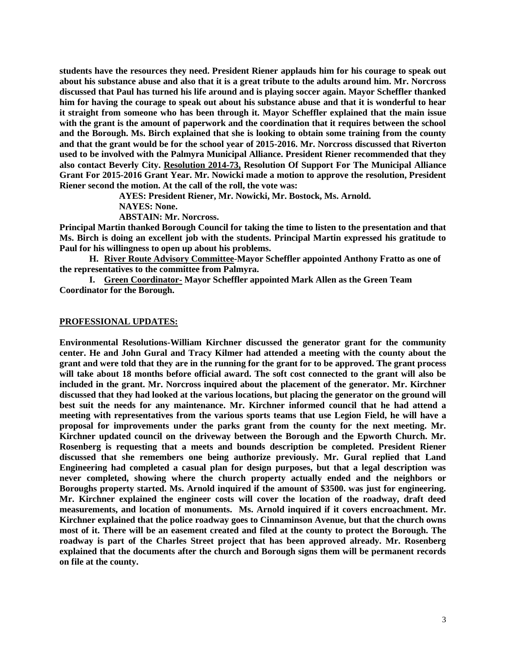**students have the resources they need. President Riener applauds him for his courage to speak out about his substance abuse and also that it is a great tribute to the adults around him. Mr. Norcross discussed that Paul has turned his life around and is playing soccer again. Mayor Scheffler thanked him for having the courage to speak out about his substance abuse and that it is wonderful to hear it straight from someone who has been through it. Mayor Scheffler explained that the main issue with the grant is the amount of paperwork and the coordination that it requires between the school and the Borough. Ms. Birch explained that she is looking to obtain some training from the county and that the grant would be for the school year of 2015-2016. Mr. Norcross discussed that Riverton used to be involved with the Palmyra Municipal Alliance. President Riener recommended that they also contact Beverly City. Resolution 2014-73, Resolution Of Support For The Municipal Alliance Grant For 2015-2016 Grant Year. Mr. Nowicki made a motion to approve the resolution, President Riener second the motion. At the call of the roll, the vote was:**

**AYES: President Riener, Mr. Nowicki, Mr. Bostock, Ms. Arnold.**

**NAYES: None.**

**ABSTAIN: Mr. Norcross.**

**Principal Martin thanked Borough Council for taking the time to listen to the presentation and that Ms. Birch is doing an excellent job with the students. Principal Martin expressed his gratitude to Paul for his willingness to open up about his problems.** 

**H. River Route Advisory Committee-Mayor Scheffler appointed Anthony Fratto as one of the representatives to the committee from Palmyra.**

**I. Green Coordinator- Mayor Scheffler appointed Mark Allen as the Green Team Coordinator for the Borough.**

#### **PROFESSIONAL UPDATES:**

**Environmental Resolutions-William Kirchner discussed the generator grant for the community center. He and John Gural and Tracy Kilmer had attended a meeting with the county about the grant and were told that they are in the running for the grant for to be approved. The grant process will take about 18 months before official award. The soft cost connected to the grant will also be included in the grant. Mr. Norcross inquired about the placement of the generator. Mr. Kirchner discussed that they had looked at the various locations, but placing the generator on the ground will best suit the needs for any maintenance. Mr. Kirchner informed council that he had attend a meeting with representatives from the various sports teams that use Legion Field, he will have a proposal for improvements under the parks grant from the county for the next meeting. Mr. Kirchner updated council on the driveway between the Borough and the Epworth Church. Mr. Rosenberg is requesting that a meets and bounds description be completed. President Riener discussed that she remembers one being authorize previously. Mr. Gural replied that Land Engineering had completed a casual plan for design purposes, but that a legal description was never completed, showing where the church property actually ended and the neighbors or Boroughs property started. Ms. Arnold inquired if the amount of \$3500. was just for engineering. Mr. Kirchner explained the engineer costs will cover the location of the roadway, draft deed measurements, and location of monuments. Ms. Arnold inquired if it covers encroachment. Mr. Kirchner explained that the police roadway goes to Cinnaminson Avenue, but that the church owns most of it. There will be an easement created and filed at the county to protect the Borough. The roadway is part of the Charles Street project that has been approved already. Mr. Rosenberg explained that the documents after the church and Borough signs them will be permanent records on file at the county.**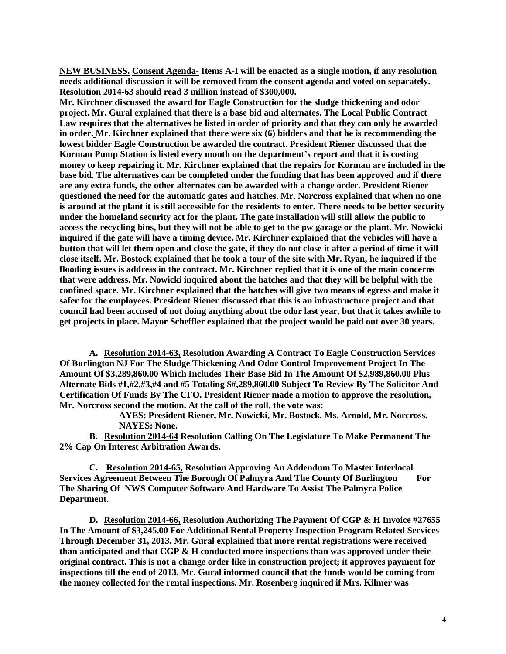**NEW BUSINESS. Consent Agenda- Items A-I will be enacted as a single motion, if any resolution needs additional discussion it will be removed from the consent agenda and voted on separately. Resolution 2014-63 should read 3 million instead of \$300,000.** 

**Mr. Kirchner discussed the award for Eagle Construction for the sludge thickening and odor project. Mr. Gural explained that there is a base bid and alternates. The Local Public Contract Law requires that the alternatives be listed in order of priority and that they can only be awarded in order. Mr. Kirchner explained that there were six (6) bidders and that he is recommending the lowest bidder Eagle Construction be awarded the contract. President Riener discussed that the Korman Pump Station is listed every month on the department's report and that it is costing money to keep repairing it. Mr. Kirchner explained that the repairs for Korman are included in the base bid. The alternatives can be completed under the funding that has been approved and if there are any extra funds, the other alternates can be awarded with a change order. President Riener questioned the need for the automatic gates and hatches. Mr. Norcross explained that when no one is around at the plant it is still accessible for the residents to enter. There needs to be better security under the homeland security act for the plant. The gate installation will still allow the public to access the recycling bins, but they will not be able to get to the pw garage or the plant. Mr. Nowicki inquired if the gate will have a timing device. Mr. Kirchner explained that the vehicles will have a button that will let them open and close the gate, if they do not close it after a period of time it will close itself. Mr. Bostock explained that he took a tour of the site with Mr. Ryan, he inquired if the flooding issues is address in the contract. Mr. Kirchner replied that it is one of the main concerns that were address. Mr. Nowicki inquired about the hatches and that they will be helpful with the confined space. Mr. Kirchner explained that the hatches will give two means of egress and make it safer for the employees. President Riener discussed that this is an infrastructure project and that council had been accused of not doing anything about the odor last year, but that it takes awhile to get projects in place. Mayor Scheffler explained that the project would be paid out over 30 years.** 

**A. Resolution 2014-63, Resolution Awarding A Contract To Eagle Construction Services Of Burlington NJ For The Sludge Thickening And Odor Control Improvement Project In The Amount Of \$3,289,860.00 Which Includes Their Base Bid In The Amount Of \$2,989,860.00 Plus Alternate Bids #1,#2,#3,#4 and #5 Totaling \$#,289,860.00 Subject To Review By The Solicitor And Certification Of Funds By The CFO. President Riener made a motion to approve the resolution, Mr. Norcross second the motion. At the call of the roll, the vote was:**

> **AYES: President Riener, Mr. Nowicki, Mr. Bostock, Ms. Arnold, Mr. Norcross. NAYES: None.**

**B. Resolution 2014-64 Resolution Calling On The Legislature To Make Permanent The 2% Cap On Interest Arbitration Awards.** 

**C. Resolution 2014-65, Resolution Approving An Addendum To Master Interlocal Services Agreement Between The Borough Of Palmyra And The County Of Burlington For The Sharing Of NWS Computer Software And Hardware To Assist The Palmyra Police Department.**

**D. Resolution 2014-66, Resolution Authorizing The Payment Of CGP & H Invoice #27655 In The Amount of \$3,245.00 For Additional Rental Property Inspection Program Related Services Through December 31, 2013. Mr. Gural explained that more rental registrations were received than anticipated and that CGP & H conducted more inspections than was approved under their original contract. This is not a change order like in construction project; it approves payment for inspections till the end of 2013. Mr. Gural informed council that the funds would be coming from the money collected for the rental inspections. Mr. Rosenberg inquired if Mrs. Kilmer was**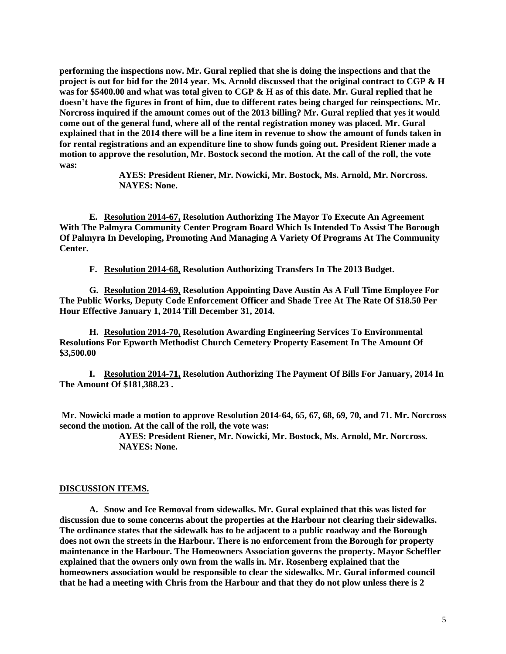**performing the inspections now. Mr. Gural replied that she is doing the inspections and that the project is out for bid for the 2014 year. Ms. Arnold discussed that the original contract to CGP & H was for \$5400.00 and what was total given to CGP & H as of this date. Mr. Gural replied that he doesn't have the figures in front of him, due to different rates being charged for reinspections. Mr. Norcross inquired if the amount comes out of the 2013 billing? Mr. Gural replied that yes it would come out of the general fund, where all of the rental registration money was placed. Mr. Gural explained that in the 2014 there will be a line item in revenue to show the amount of funds taken in for rental registrations and an expenditure line to show funds going out. President Riener made a motion to approve the resolution, Mr. Bostock second the motion. At the call of the roll, the vote was:**

> **AYES: President Riener, Mr. Nowicki, Mr. Bostock, Ms. Arnold, Mr. Norcross. NAYES: None.**

**E. Resolution 2014-67, Resolution Authorizing The Mayor To Execute An Agreement With The Palmyra Community Center Program Board Which Is Intended To Assist The Borough Of Palmyra In Developing, Promoting And Managing A Variety Of Programs At The Community Center.** 

**F. Resolution 2014-68, Resolution Authorizing Transfers In The 2013 Budget.**

**G. Resolution 2014-69, Resolution Appointing Dave Austin As A Full Time Employee For The Public Works, Deputy Code Enforcement Officer and Shade Tree At The Rate Of \$18.50 Per Hour Effective January 1, 2014 Till December 31, 2014.**

**H. Resolution 2014-70, Resolution Awarding Engineering Services To Environmental Resolutions For Epworth Methodist Church Cemetery Property Easement In The Amount Of \$3,500.00**

**I. Resolution 2014-71, Resolution Authorizing The Payment Of Bills For January, 2014 In The Amount Of \$181,388.23 .**

**Mr. Nowicki made a motion to approve Resolution 2014-64, 65, 67, 68, 69, 70, and 71. Mr. Norcross second the motion. At the call of the roll, the vote was:**

> **AYES: President Riener, Mr. Nowicki, Mr. Bostock, Ms. Arnold, Mr. Norcross. NAYES: None.**

#### **DISCUSSION ITEMS.**

**A. Snow and Ice Removal from sidewalks. Mr. Gural explained that this was listed for discussion due to some concerns about the properties at the Harbour not clearing their sidewalks. The ordinance states that the sidewalk has to be adjacent to a public roadway and the Borough does not own the streets in the Harbour. There is no enforcement from the Borough for property maintenance in the Harbour. The Homeowners Association governs the property. Mayor Scheffler explained that the owners only own from the walls in. Mr. Rosenberg explained that the homeowners association would be responsible to clear the sidewalks. Mr. Gural informed council that he had a meeting with Chris from the Harbour and that they do not plow unless there is 2**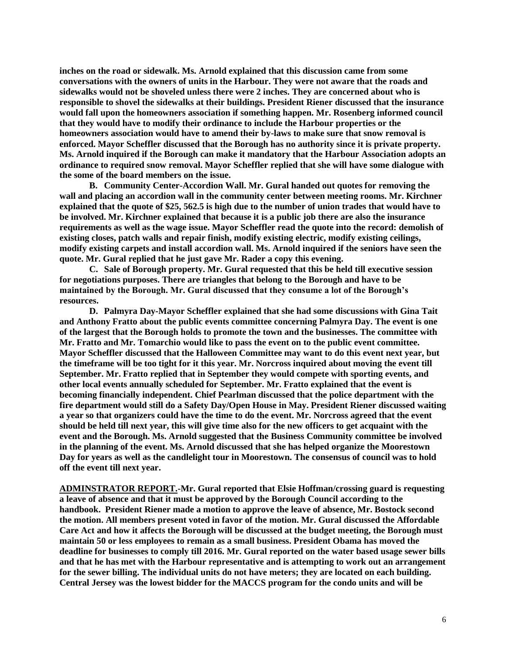**inches on the road or sidewalk. Ms. Arnold explained that this discussion came from some conversations with the owners of units in the Harbour. They were not aware that the roads and sidewalks would not be shoveled unless there were 2 inches. They are concerned about who is responsible to shovel the sidewalks at their buildings. President Riener discussed that the insurance would fall upon the homeowners association if something happen. Mr. Rosenberg informed council that they would have to modify their ordinance to include the Harbour properties or the homeowners association would have to amend their by-laws to make sure that snow removal is enforced. Mayor Scheffler discussed that the Borough has no authority since it is private property. Ms. Arnold inquired if the Borough can make it mandatory that the Harbour Association adopts an ordinance to required snow removal. Mayor Scheffler replied that she will have some dialogue with the some of the board members on the issue.** 

**B. Community Center-Accordion Wall. Mr. Gural handed out quotes for removing the wall and placing an accordion wall in the community center between meeting rooms. Mr. Kirchner explained that the quote of \$25, 562.5 is high due to the number of union trades that would have to be involved. Mr. Kirchner explained that because it is a public job there are also the insurance requirements as well as the wage issue. Mayor Scheffler read the quote into the record: demolish of existing closes, patch walls and repair finish, modify existing electric, modify existing ceilings, modify existing carpets and install accordion wall. Ms. Arnold inquired if the seniors have seen the quote. Mr. Gural replied that he just gave Mr. Rader a copy this evening.** 

**C. Sale of Borough property. Mr. Gural requested that this be held till executive session for negotiations purposes. There are triangles that belong to the Borough and have to be maintained by the Borough. Mr. Gural discussed that they consume a lot of the Borough's resources.** 

**D. Palmyra Day-Mayor Scheffler explained that she had some discussions with Gina Tait and Anthony Fratto about the public events committee concerning Palmyra Day. The event is one of the largest that the Borough holds to promote the town and the businesses. The committee with Mr. Fratto and Mr. Tomarchio would like to pass the event on to the public event committee. Mayor Scheffler discussed that the Halloween Committee may want to do this event next year, but the timeframe will be too tight for it this year. Mr. Norcross inquired about moving the event till September. Mr. Fratto replied that in September they would compete with sporting events, and other local events annually scheduled for September. Mr. Fratto explained that the event is becoming financially independent. Chief Pearlman discussed that the police department with the fire department would still do a Safety Day/Open House in May. President Riener discussed waiting a year so that organizers could have the time to do the event. Mr. Norcross agreed that the event should be held till next year, this will give time also for the new officers to get acquaint with the event and the Borough. Ms. Arnold suggested that the Business Community committee be involved in the planning of the event. Ms. Arnold discussed that she has helped organize the Moorestown Day for years as well as the candlelight tour in Moorestown. The consensus of council was to hold off the event till next year.** 

**ADMINSTRATOR REPORT.-Mr. Gural reported that Elsie Hoffman/crossing guard is requesting a leave of absence and that it must be approved by the Borough Council according to the handbook. President Riener made a motion to approve the leave of absence, Mr. Bostock second the motion. All members present voted in favor of the motion. Mr. Gural discussed the Affordable Care Act and how it affects the Borough will be discussed at the budget meeting, the Borough must maintain 50 or less employees to remain as a small business. President Obama has moved the deadline for businesses to comply till 2016. Mr. Gural reported on the water based usage sewer bills and that he has met with the Harbour representative and is attempting to work out an arrangement for the sewer billing. The individual units do not have meters; they are located on each building. Central Jersey was the lowest bidder for the MACCS program for the condo units and will be**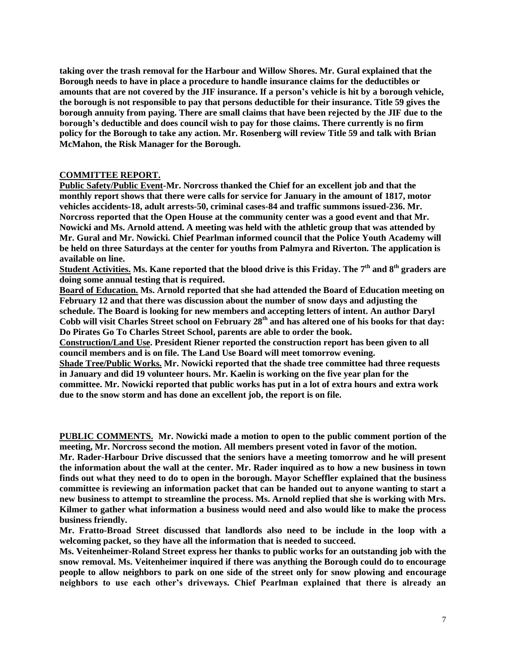**taking over the trash removal for the Harbour and Willow Shores. Mr. Gural explained that the Borough needs to have in place a procedure to handle insurance claims for the deductibles or amounts that are not covered by the JIF insurance. If a person's vehicle is hit by a borough vehicle, the borough is not responsible to pay that persons deductible for their insurance. Title 59 gives the borough annuity from paying. There are small claims that have been rejected by the JIF due to the borough's deductible and does council wish to pay for those claims. There currently is no firm policy for the Borough to take any action. Mr. Rosenberg will review Title 59 and talk with Brian McMahon, the Risk Manager for the Borough.** 

## **COMMITTEE REPORT.**

**Public Safety/Public Event-Mr. Norcross thanked the Chief for an excellent job and that the monthly report shows that there were calls for service for January in the amount of 1817, motor vehicles accidents-18, adult arrests-50, criminal cases-84 and traffic summons issued-236. Mr. Norcross reported that the Open House at the community center was a good event and that Mr. Nowicki and Ms. Arnold attend. A meeting was held with the athletic group that was attended by Mr. Gural and Mr. Nowicki. Chief Pearlman informed council that the Police Youth Academy will be held on three Saturdays at the center for youths from Palmyra and Riverton. The application is available on line.** 

**Student Activities. Ms. Kane reported that the blood drive is this Friday. The 7 th and 8th graders are doing some annual testing that is required.**

**Board of Education. Ms. Arnold reported that she had attended the Board of Education meeting on February 12 and that there was discussion about the number of snow days and adjusting the schedule. The Board is looking for new members and accepting letters of intent. An author Daryl Cobb will visit Charles Street school on February 28th and has altered one of his books for that day: Do Pirates Go To Charles Street School, parents are able to order the book.** 

**Construction/Land Use. President Riener reported the construction report has been given to all council members and is on file. The Land Use Board will meet tomorrow evening.**

**Shade Tree/Public Works. Mr. Nowicki reported that the shade tree committee had three requests in January and did 19 volunteer hours. Mr. Kaelin is working on the five year plan for the committee. Mr. Nowicki reported that public works has put in a lot of extra hours and extra work due to the snow storm and has done an excellent job, the report is on file.** 

**PUBLIC COMMENTS. Mr. Nowicki made a motion to open to the public comment portion of the meeting, Mr. Norcross second the motion. All members present voted in favor of the motion.**

**Mr. Rader-Harbour Drive discussed that the seniors have a meeting tomorrow and he will present the information about the wall at the center. Mr. Rader inquired as to how a new business in town finds out what they need to do to open in the borough. Mayor Scheffler explained that the business committee is reviewing an information packet that can be handed out to anyone wanting to start a new business to attempt to streamline the process. Ms. Arnold replied that she is working with Mrs. Kilmer to gather what information a business would need and also would like to make the process business friendly.** 

**Mr. Fratto-Broad Street discussed that landlords also need to be include in the loop with a welcoming packet, so they have all the information that is needed to succeed.** 

**Ms. Veitenheimer-Roland Street express her thanks to public works for an outstanding job with the snow removal. Ms. Veitenheimer inquired if there was anything the Borough could do to encourage people to allow neighbors to park on one side of the street only for snow plowing and encourage neighbors to use each other's driveways. Chief Pearlman explained that there is already an**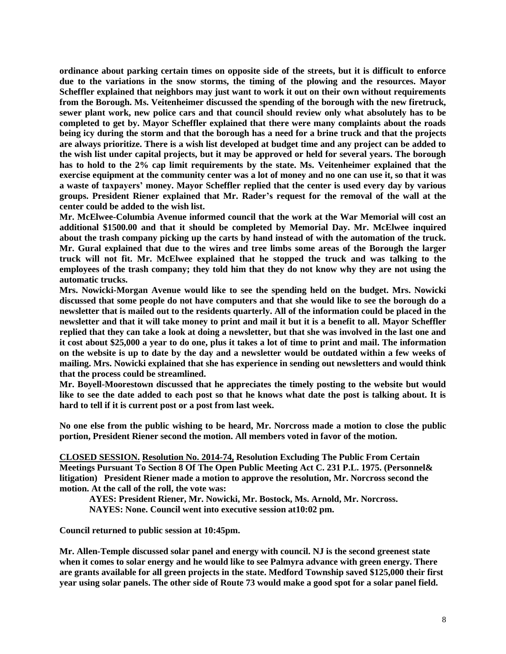**ordinance about parking certain times on opposite side of the streets, but it is difficult to enforce due to the variations in the snow storms, the timing of the plowing and the resources. Mayor Scheffler explained that neighbors may just want to work it out on their own without requirements from the Borough. Ms. Veitenheimer discussed the spending of the borough with the new firetruck, sewer plant work, new police cars and that council should review only what absolutely has to be completed to get by. Mayor Scheffler explained that there were many complaints about the roads being icy during the storm and that the borough has a need for a brine truck and that the projects are always prioritize. There is a wish list developed at budget time and any project can be added to the wish list under capital projects, but it may be approved or held for several years. The borough has to hold to the 2% cap limit requirements by the state. Ms. Veitenheimer explained that the exercise equipment at the community center was a lot of money and no one can use it, so that it was a waste of taxpayers' money. Mayor Scheffler replied that the center is used every day by various groups. President Riener explained that Mr. Rader's request for the removal of the wall at the center could be added to the wish list.** 

**Mr. McElwee-Columbia Avenue informed council that the work at the War Memorial will cost an additional \$1500.00 and that it should be completed by Memorial Day. Mr. McElwee inquired about the trash company picking up the carts by hand instead of with the automation of the truck. Mr. Gural explained that due to the wires and tree limbs some areas of the Borough the larger truck will not fit. Mr. McElwee explained that he stopped the truck and was talking to the employees of the trash company; they told him that they do not know why they are not using the automatic trucks.** 

**Mrs. Nowicki-Morgan Avenue would like to see the spending held on the budget. Mrs. Nowicki discussed that some people do not have computers and that she would like to see the borough do a newsletter that is mailed out to the residents quarterly. All of the information could be placed in the newsletter and that it will take money to print and mail it but it is a benefit to all. Mayor Scheffler replied that they can take a look at doing a newsletter, but that she was involved in the last one and it cost about \$25,000 a year to do one, plus it takes a lot of time to print and mail. The information on the website is up to date by the day and a newsletter would be outdated within a few weeks of mailing. Mrs. Nowicki explained that she has experience in sending out newsletters and would think that the process could be streamlined.** 

**Mr. Boyell-Moorestown discussed that he appreciates the timely posting to the website but would like to see the date added to each post so that he knows what date the post is talking about. It is hard to tell if it is current post or a post from last week.** 

**No one else from the public wishing to be heard, Mr. Norcross made a motion to close the public portion, President Riener second the motion. All members voted in favor of the motion.** 

**CLOSED SESSION. Resolution No. 2014-74, Resolution Excluding The Public From Certain Meetings Pursuant To Section 8 Of The Open Public Meeting Act C. 231 P.L. 1975. (Personnel& litigation) President Riener made a motion to approve the resolution, Mr. Norcross second the motion. At the call of the roll, the vote was:**

**AYES: President Riener, Mr. Nowicki, Mr. Bostock, Ms. Arnold, Mr. Norcross. NAYES: None. Council went into executive session at10:02 pm.**

**Council returned to public session at 10:45pm.**

**Mr. Allen-Temple discussed solar panel and energy with council. NJ is the second greenest state when it comes to solar energy and he would like to see Palmyra advance with green energy. There are grants available for all green projects in the state. Medford Township saved \$125,000 their first year using solar panels. The other side of Route 73 would make a good spot for a solar panel field.**